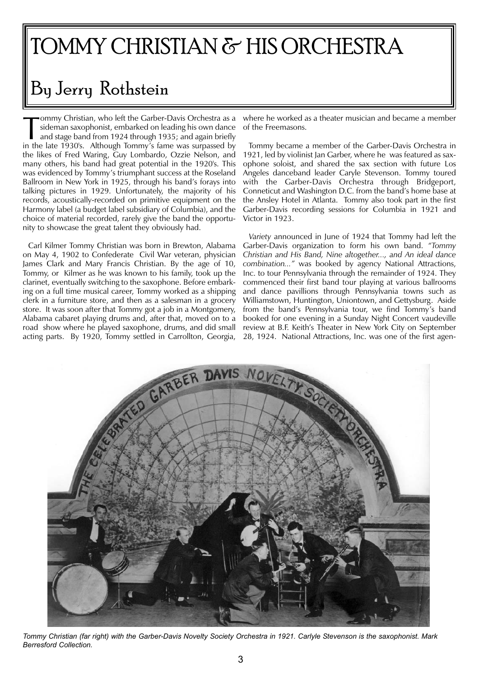## TOMMY CHRISTIAN & HIS ORCHESTRA

## By Jerry Rothstein

Frommy Christian, who left the Garber-Davis Orchestra as a sideman saxophonist, embarked on leading his own dance and stage band from 1924 through 1935; and again briefly in the late 1930's. Although Tommy's fame was surpa ommy Christian, who left the Garber-Davis Orchestra as a sideman saxophonist, embarked on leading his own dance and stage band from 1924 through 1935; and again briefly the likes of Fred Waring, Guy Lombardo, Ozzie Nelson, and many others, his band had great potential in the 1920's. This was evidenced by Tommy's triumphant success at the Roseland Ballroom in New York in 1925, through his band's forays into talking pictures in 1929. Unfortunately, the majority of his records, acoustically-recorded on primitive equipment on the Harmony label (a budget label subsidiary of Columbia), and the choice of material recorded, rarely give the band the opportunity to showcase the great talent they obviously had.

Carl Kilmer Tommy Christian was born in Brewton, Alabama on May 4, 1902 to Confederate Civil War veteran, physician James Clark and Mary Francis Christian. By the age of 10, Tommy, or Kilmer as he was known to his family, took up the clarinet, eventually switching to the saxophone. Before embarking on a full time musical career, Tommy worked as a shipping clerk in a furniture store, and then as a salesman in a grocery store. It was soon after that Tommy got a job in a Montgomery, Alabama cabaret playing drums and, after that, moved on to a road show where he played saxophone, drums, and did small

where he worked as a theater musician and became a member of the Freemasons.

Tommy became a member of the Garber-Davis Orchestra in 1921, led by violinist Jan Garber, where he was featured as saxophone soloist, and shared the sax section with future Los Angeles danceband leader Caryle Stevenson. Tommy toured with the Garber-Davis Orchestra through Bridgeport, Conneticut and Washington D.C. from the band's home base at the Ansley Hotel in Atlanta. Tommy also took part in the first Garber-Davis recording sessions for Columbia in 1921 and Victor in 1923.

*Variety* announced in June of 1924 that Tommy had left the Garber-Davis organization to form his own band. *"Tommy Christian and His Band, Nine altogether..., and An ideal dance combination..."* was booked by agency National Attractions, Inc. to tour Pennsylvania through the remainder of 1924. They commenced their first band tour playing at various ballrooms and dance pavillions through Pennsylvania towns such as Williamstown, Huntington, Uniontown, and Gettysburg. Aside from the band's Pennsylvania tour, we find Tommy's band booked for one evening in a Sunday Night Concert vaudeville review at B.F. Keith's Theater in New York City on September 28, 1924. National Attractions, Inc. was one of the first agen-



*Tommy Christian (far right) with the Garber-Davis Novelty Society Orchestra in 1921. Carlyle Stevenson is the saxophonist. Mark Berresford Collection.*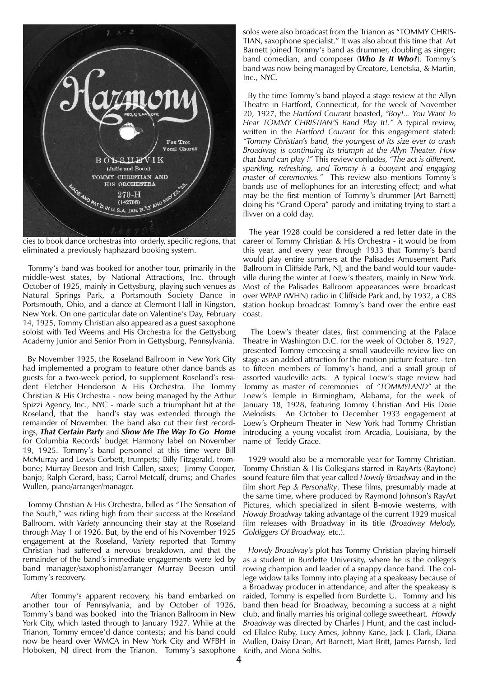

cies to book dance orchestras into orderly, specific regions, that eliminated a previously haphazard booking system.

Tommy's band was booked for another tour, primarily in the middle-west states, by National Attractions, Inc. through October of 1925, mainly in Gettysburg, playing such venues as Natural Springs Park, a Portsmouth Society Dance in Portsmouth, Ohio, and a dance at Clermont Hall in Kingston, New York. On one particular date on Valentine's Day, February 14, 1925, Tommy Christian also appeared as a guest saxophone soloist with Ted Weems and His Orchestra for the Gettysburg Academy Junior and Senior Prom in Gettysburg, Pennsylvania.

By November 1925, the Roseland Ballroom in New York City had implemented a program to feature other dance bands as guests for a two-week period, to supplement Roseland's resident Fletcher Henderson & His Orchestra. The Tommy Christian & His Orchestra - now being managed by the Arthur Spizzi Agency, Inc., NYC - made such a triumphant hit at the Roseland, that the band's stay was extended through the remainder of November. The band also cut their first recordings, *That Certain Party* and *Show Me The Way To Go Home* for Columbia Records' budget Harmony label on November 19, 1925. Tommy's band personnel at this time were Bill McMurray and Lewis Corbett, trumpets; Billy Fitzgerald, trombone; Murray Beeson and Irish Callen, saxes; Jimmy Cooper, banjo; Ralph Gerard, bass; Carrol Metcalf, drums; and Charles Wullen, piano/arranger/manager.

Tommy Christian & His Orchestra, billed as "The Sensation of the South," was riding high from their success at the Roseland Ballroom, with *Variety* announcing their stay at the Roseland through May 1 of 1926. But, by the end of his November 1925 engagement at the Roseland, *Variety* reported that Tommy Christian had suffered a nervous breakdown, and that the remainder of the band's immediate engagements were led by band manager/saxophonist/arranger Murray Beeson until Tommy's recovery.

After Tommy's apparent recovery, his band embarked on another tour of Pennsylvania, and by October of 1926, Tommy's band was booked into the Trianon Ballroom in New York City, which lasted through to January 1927. While at the Trianon, Tommy emcee'd dance contests; and his band could now be heard over WMCA in New York City and WFBH in Hoboken, NJ direct from the Trianon. Tommy's saxophone 4

solos were also broadcast from the Trianon as "TOMMY CHRIS-TIAN, saxophone specialist." It was also about this time that Art Barnett joined Tommy's band as drummer, doubling as singer: band comedian, and composer (*Who Is It Who?*). Tommy's band was now being managed by Creatore, Lenetska, & Martin, Inc., NYC.

By the time Tommy's band played a stage review at the Allyn Theatre in Hartford, Connecticut, for the week of November 20, 1927, the *Hartford Courant* boasted, *"Boy!... You Want To Hear TOMMY CHRISTIAN'S Band Play It!."* A typical review, written in the *Hartford Courant* for this engagement stated: *"Tommy Christian's band, the youngest of its size ever to crash Broadway, is continuing its triumph at the Allyn Theater. How that band can play !"* This review conludes, *"The act is different, sparkling, refreshing, and Tommy is a buoyant and engaging master of ceremonies."* This review also mentions Tommy's bands use of mellophones for an interesting effect; and what may be the first mention of Tommy's drummer [Art Barnett] doing his "Grand Opera" parody and imitating trying to start a flivver on a cold day.

The year 1928 could be considered a red letter date in the career of Tommy Christian & His Orchestra - it would be from this year, and every year through 1933 that Tommy's band would play entire summers at the Palisades Amusement Park Ballroom in Cliffside Park, NJ, and the band would tour vaudeville during the winter at Loew's theaters, mainly in New York. Most of the Palisades Ballroom appearances were broadcast over WPAP (WHN) radio in Cliffside Park and, by 1932, a CBS station hookup broadcast Tommy's band over the entire east coast.

The Loew's theater dates, first commencing at the Palace Theatre in Washington D.C. for the week of October 8, 1927, presented Tommy emceeing a small vaudeville review live on stage as an added attraction for the motion picture feature - ten to fifteen members of Tommy's band, and a small group of assorted vaudeville acts. A typical Loew's stage review had Tommy as master of ceremonies of *"TOMMYLAND"* at the Loew's Temple in Birmingham, Alabama, for the week of January 18, 1928, featuring Tommy Christian And His Dixie Melodists. An October to December 1933 engagement at Loew's Orpheum Theater in New York had Tommy Christian introducing a young vocalist from Arcadia, Louisiana, by the name of Teddy Grace.

1929 would also be a memorable year for Tommy Christian. Tommy Christian & His Collegians starred in RayArts (Raytone) sound feature film that year called *Howdy Broadway* and in the film short *Pep & Personality*. These films, presumably made at the same time, where produced by Raymond Johnson's RayArt Pictures, which specialized in silent B-movie westerns, with *Howdy Broadway* taking advantage of the current 1929 musical film releases with Broadway in its title (*Broadway Melody, Goldiggers Of Broadway,* etc.).

*Howdy Broadway's* plot has Tommy Christian playing himself as a student in Burdette University, where he is the college's rowing champion and leader of a snappy dance band. The college widow talks Tommy into playing at a speakeasy because of a Broadway producer in attendance, and after the speakeasy is raided, Tommy is expelled from Burdette U. Tommy and his band then head for Broadway, becoming a success at a night club, and finally marries his original college sweetheart. *Howdy Broadway* was directed by Charles J Hunt, and the cast included Ellalee Ruby, Lucy Ames, Johnny Kane, Jack J. Clark, Diana Mullen, Daisy Dean, Art Barnett, Mart Britt, James Parrish, Ted Keith, and Mona Soltis.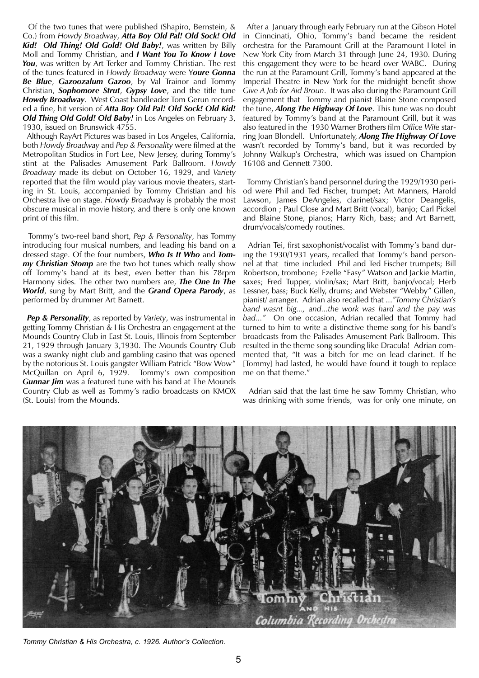Of the two tunes that were published (Shapiro, Bernstein, & Co.) from *Howdy Broadway*, *Atta Boy Old Pal! Old Sock! Old Kid! Old Thing! Old Gold! Old Baby!*, was written by Billy Moll and Tommy Christian, and *I Want You To Know I Love You*, was written by Art Terker and Tommy Christian. The rest of the tunes featured in *Howdy Broadway* were Y*oure Gonna Be Blue*, *Gazoozalum Gazoo*, by Val Trainor and Tommy Christian, *Sophomore Strut*, *Gypsy Love*, and the title tune *Howdy Broadway*. West Coast bandleader Tom Gerun recorded a fine, hit version of *Atta Boy Old Pal! Old Sock! Old Kid! Old Thing Old Gold! Old Baby!* in Los Angeles on February 3, 1930, issued on Brunswick 4755.

Although RayArt Pictures was based in Los Angeles, California, both *Howdy Broadway* and *Pep & Personality* were filmed at the Metropolitan Studios in Fort Lee, New Jersey, during Tommy's stint at the Palisades Amusement Park Ballroom. *Howdy Broadway* made its debut on October 16, 1929, and *Variety* reported that the film would play various movie theaters, starting in St. Louis, accompanied by Tommy Christian and his Orchestra live on stage. *Howdy Broadway* is probably the most obscure musical in movie history, and there is only one known print of this film.

Tommy's two-reel band short, *Pep & Personality*, has Tommy introducing four musical numbers, and leading his band on a dressed stage. Of the four numbers, *Who Is It Who* and *Tommy Christian Stomp* are the two hot tunes which really show off Tommy's band at its best, even better than his 78rpm Harmony sides. The other two numbers are, *The One In The World*, sung by Mart Britt, and the *Grand Opera Parody*, as performed by drummer Art Barnett.

*Pep & Personality*, as reported by *Variety*, was instrumental in getting Tommy Christian & His Orchestra an engagement at the Mounds Country Club in East St. Louis, Illinois from September 21, 1929 through January 3,1930. The Mounds Country Club was a swanky night club and gambling casino that was opened by the notorious St. Louis gangster William Patrick "Bow Wow" McQuillan on April 6, 1929. Tommy's own composition *Gunnar Jim* was a featured tune with his band at The Mounds Country Club as well as Tommy's radio broadcasts on KMOX (St. Louis) from the Mounds.

After a January through early February run at the Gibson Hotel in Cinncinati, Ohio, Tommy's band became the resident orchestra for the Paramount Grill at the Paramount Hotel in New York City from March 31 through June 24, 1930. During this engagement they were to be heard over WABC. During the run at the Paramount Grill, Tommy's band appeared at the Imperial Theatre in New York for the midnight benefit show *Give A Job for Aid Broun*. It was also during the Paramount Grill engagement that Tommy and pianist Blaine Stone composed the tune, *Along The Highway Of Love*. This tune was no doubt featured by Tommy's band at the Paramount Grill, but it was also featured in the 1930 Warner Brothers film *Office Wife* starring Joan Blondell. Unfortunately, *Along The Highway Of Love* wasn't recorded by Tommy's band, but it was recorded by Johnny Walkup's Orchestra, which was issued on Champion 16108 and Gennett 7300.

Tommy Christian's band personnel during the 1929/1930 period were Phil and Ted Fischer, trumpet; Art Manners, Harold Lawson, James DeAngeles, clarinet/sax; Victor Deangelis, accordion ; Paul Close and Mart Britt (vocal), banjo; Carl Pickel and Blaine Stone, pianos; Harry Rich, bass; and Art Barnett, drum/vocals/comedy routines.

Adrian Tei, first saxophonist/vocalist with Tommy's band during the 1930/1931 years, recalled that Tommy's band personnel at that time included Phil and Ted Fischer trumpets; Bill Robertson, trombone; Ezelle "Easy" Watson and Jackie Martin, saxes; Fred Tupper, violin/sax; Mart Britt, banjo/vocal; Herb Lessner, bass; Buck Kelly, drums; and Webster "Webby" Gillen, pianist/ arranger. Adrian also recalled that ...*"Tommy Christian's band wasnt big..., and...the work was hard and the pay was bad..."* On one occasion, Adrian recalled that Tommy had turned to him to write a distinctive theme song for his band's broadcasts from the Palisades Amusement Park Ballroom. This resulted in the theme song sounding like Dracula! Adrian commented that, "It was a bitch for me on lead clarinet. If he [Tommy] had lasted, he would have found it tough to replace me on that theme."

Adrian said that the last time he saw Tommy Christian, who was drinking with some friends, was for only one minute, on



*Tommy Christian & His Orchestra, c. 1926. Author's Collection.*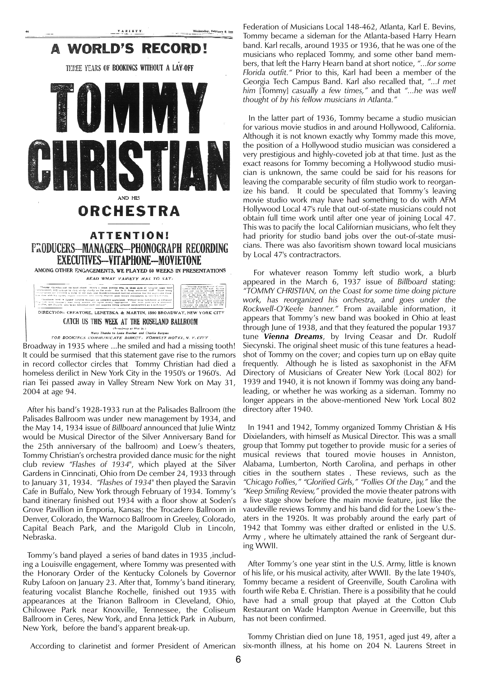

Broadway in 1935 where ...he smiled and had a missing tooth! It could be surmised that this statement gave rise to the rumors in record collector circles that Tommy Christian had died a homeless derilict in New York City in the 1950's or 1960's. Ad rian Tei passed away in Valley Stream New York on May 31, 2004 at age 94.

After his band's 1928-1933 run at the Palisades Ballroom (the Palisades Ballroom was under new management by 1934, and the May 14, 1934 issue of *Billboard* announced that Julie Wintz would be Musical Director of the Silver Anniversary Band for the 25th anniversary of the ballroom) and Loew's theaters, Tommy Christian's orchestra provided dance music for the night club review *"Flashes of 1934"*, which played at the Silver Gardens in Cinncinati, Ohio from De cember 24, 1933 through to January 31, 1934. *"Flashes of 1934"* then played the Saravin Cafe in Buffalo, New York through February of 1934. Tommy's band itinerary finished out 1934 with a floor show at Soden's Grove Pavillion in Emporia, Kansas; the Trocadero Ballroom in Denver, Colorado, the Warnoco Ballroom in Greeley, Colorado, Capital Beach Park, and the Marigold Club in Lincoln, Nebraska.

Tommy's band played a series of band dates in 1935 ,including a Louisville engagement, where Tommy was presented with the Honorary Order of the Kentucky Colonels by Governor Ruby Lafoon on January 23. After that, Tommy's band itinerary, featuring vocalist Blanche Rochelle, finished out 1935 with appearances at the Trianon Ballroom in Cleveland, Ohio, Chilowee Park near Knoxville, Tennessee, the Coliseum Ballroom in Ceres, New York, and Enna Jettick Park in Auburn, New York, before the band's apparent break-up.

Federation of Musicians Local 148-462, Atlanta, Karl E. Bevins, Tommy became a sideman for the Atlanta-based Harry Hearn band. Karl recalls, around 1935 or 1936, that he was one of the musicians who replaced Tommy, and some other band members, that left the Harry Hearn band at short notice, *"...for some Florida outfit."* Prior to this, Karl had been a member of the Georgia Tech Campus Band. Karl also recalled that, *"...I met him* [Tommy] *casually a few times,"* and that *"...he was well thought of by his fellow musicians in Atlanta."*

In the latter part of 1936, Tommy became a studio musician for various movie studios in and around Hollywood, California. Although it is not known exactly why Tommy made this move, the position of a Hollywood studio musician was considered a very prestigious and highly-coveted job at that time. Just as the exact reasons for Tommy becoming a Hollywood studio musician is unknown, the same could be said for his reasons for leaving the comparable security of film studio work to reorganize his band. It could be speculated that Tommy's leaving movie studio work may have had something to do with AFM Hollywood Local 47's rule that out-of-state musicians could not obtain full time work until after one year of joining Local 47. This was to pacify the local Californian musicians, who felt they had priority for studio band jobs over the out-of-state musicians. There was also favoritism shown toward local musicians by Local 47's contractractors.

For whatever reason Tommy left studio work, a blurb appeared in the March 6, 1937 issue of *Billboard* stating: *"TOMMY CHRISTIAN, on the Coast for some time doing picture work, has reorganized his orchestra, and goes under the Rockwell-O'Keefe banner."* From available information, it appears that Tommy's new band was booked in Ohio at least through June of 1938, and that they featured the popular 1937 tune *Vienna Dreams*, by Irving Ceasar and Dr. Rudolf Siecynski. The original sheet music of this tune features a headshot of Tommy on the cover; and copies turn up on eBay quite frequently. Although he is listed as saxophonist in the AFM Directory of Musicians of Greater New York (Local 802) for 1939 and 1940, it is not known if Tommy was doing any bandleading, or whether he was working as a sideman. Tommy no longer appears in the above-mentioned New York Local 802 directory after 1940.

In 1941 and 1942, Tommy organized Tommy Christian & His Dixielanders, with himself as Musical Director. This was a small group that Tommy put together to provide music for a series of musical reviews that toured movie houses in Anniston, Alabama, Lumberton, North Carolina, and perhaps in other cities in the southern states . These reviews, such as the *"Chicago Follies," "Glorified Girls," "Follies Of the Day,"* and the *"Keep Smiling Review,"* provided the movie theater patrons with a live stage show before the main movie feature, just like the vaudeville reviews Tommy and his band did for the Loew's theaters in the 1920s. It was probably around the early part of 1942 that Tommy was either drafted or enlisted in the U.S. Army , where he ultimately attained the rank of Sergeant during WWII.

After Tommy's one year stint in the U.S. Army, little is known of his life, or his musical activity, after WWII. By the late 1940's, Tommy became a resident of Greenville, South Carolina with fourth wife Reba E. Christian. There is a possibility that he could have had a small group that played at the Cotton Club Restaurant on Wade Hampton Avenue in Greenville, but this has not been confirmed.

According to clarinetist and former President of American six-month illness, at his home on 204 N. Laurens Street in

Tommy Christian died on June 18, 1951, aged just 49, after a